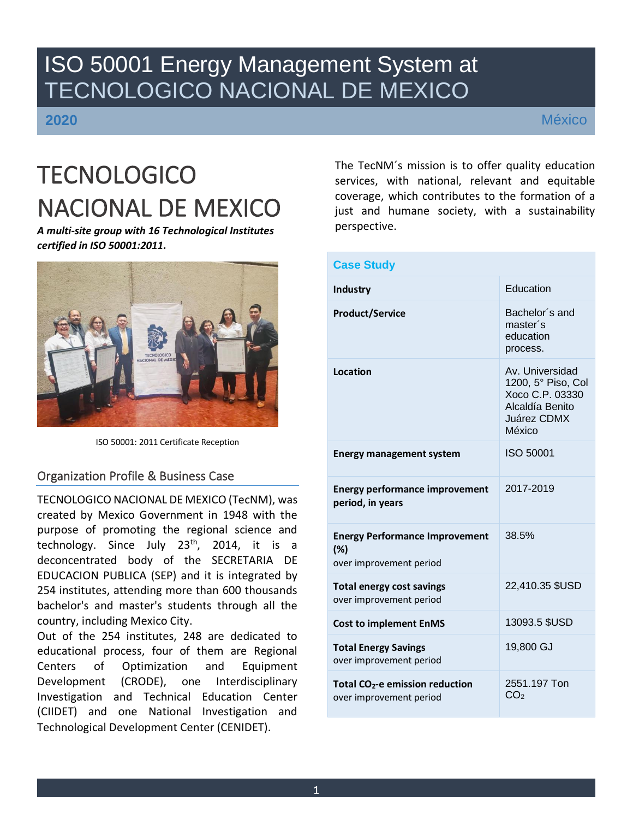# ISO 50001 Energy Management System at TECNOLOGICO NACIONAL DE MEXICO

**2020**

México

# **TECNOLOGICO** NACIONAL DE MEXICO

*A multi-site group with 16 Technological Institutes certified in ISO 50001:2011.*



ISO 50001: 2011 Certificate Reception

# Organization Profile & Business Case

TECNOLOGICO NACIONAL DE MEXICO (TecNM), was created by Mexico Government in 1948 with the purpose of promoting the regional science and technology. Since July  $23<sup>th</sup>$ , 2014, it is a deconcentrated body of the SECRETARIA DE EDUCACION PUBLICA (SEP) and it is integrated by 254 institutes, attending more than 600 thousands bachelor's and master's students through all the country, including Mexico City.

Out of the 254 institutes, 248 are dedicated to educational process, four of them are Regional Centers of Optimization and Equipment Development (CRODE), one Interdisciplinary Investigation and Technical Education Center (CIIDET) and one National Investigation and Technological Development Center (CENIDET).

The TecNM´s mission is to offer quality education services, with national, relevant and equitable coverage, which contributes to the formation of a just and humane society, with a sustainability perspective.

| <b>Case Study</b>                                                       |                                                                                                      |
|-------------------------------------------------------------------------|------------------------------------------------------------------------------------------------------|
| Industry                                                                | Education                                                                                            |
| <b>Product/Service</b>                                                  | Bachelor's and<br>master's<br>education<br>process.                                                  |
| Location                                                                | Av. Universidad<br>1200, 5° Piso, Col<br>Xoco C.P. 03330<br>Alcaldía Benito<br>Juárez CDMX<br>México |
| <b>Energy management system</b>                                         | <b>ISO 50001</b>                                                                                     |
| <b>Energy performance improvement</b><br>period, in years               | 2017-2019                                                                                            |
| <b>Energy Performance Improvement</b><br>(%)<br>over improvement period | 38.5%                                                                                                |
| <b>Total energy cost savings</b><br>over improvement period             | 22,410.35 \$USD                                                                                      |
| <b>Cost to implement EnMS</b>                                           | 13093.5 \$USD                                                                                        |
| <b>Total Energy Savings</b><br>over improvement period                  | 19,800 GJ                                                                                            |
| Total CO <sub>2</sub> -e emission reduction<br>over improvement period  | 2551.197 Ton<br>CO <sub>2</sub>                                                                      |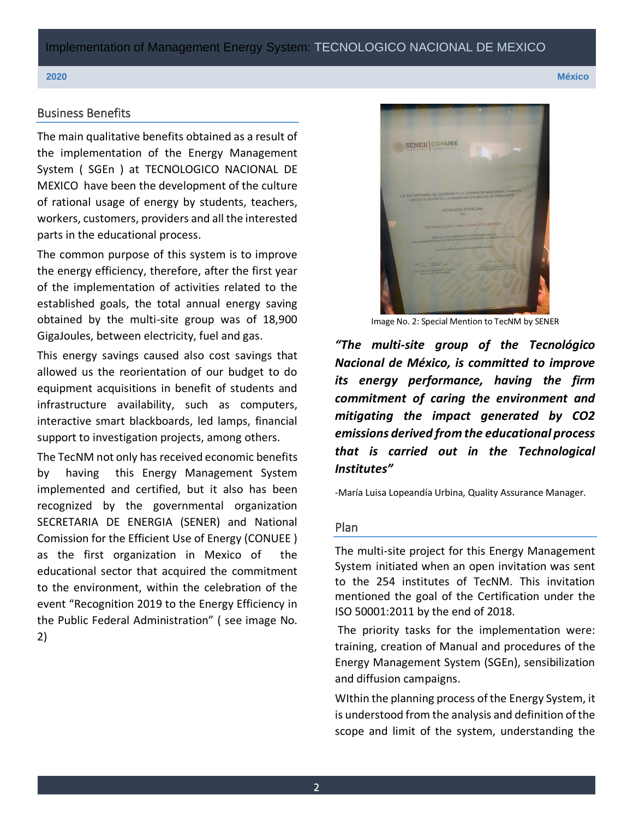Implementation of Management Energy System: TECNOLOGICO NACIONAL DE MEXICO

#### Business Benefits

The main qualitative benefits obtained as a result of the implementation of the Energy Management System ( SGEn ) at TECNOLOGICO NACIONAL DE MEXICO have been the development of the culture of rational usage of energy by students, teachers, workers, customers, providers and all the interested parts in the educational process.

The common purpose of this system is to improve the energy efficiency, therefore, after the first year of the implementation of activities related to the established goals, the total annual energy saving obtained by the multi-site group was of 18,900 GigaJoules, between electricity, fuel and gas.

This energy savings caused also cost savings that allowed us the reorientation of our budget to do equipment acquisitions in benefit of students and infrastructure availability, such as computers, interactive smart blackboards, led lamps, financial support to investigation projects, among others.

The TecNM not only has received economic benefits by having this Energy Management System implemented and certified, but it also has been recognized by the governmental organization SECRETARIA DE ENERGIA (SENER) and National Comission for the Efficient Use of Energy (CONUEE ) as the first organization in Mexico of the educational sector that acquired the commitment to the environment, within the celebration of the event "Recognition 2019 to the Energy Efficiency in the Public Federal Administration" ( see image No. 2)



Image No. 2: Special Mention to TecNM by SENER

*"The multi-site group of the Tecnológico Nacional de México, is committed to improve its energy performance, having the firm commitment of caring the environment and mitigating the impact generated by CO2 emissions derived from the educational process that is carried out in the Technological Institutes"*

-María Luisa Lopeandía Urbina, Quality Assurance Manager.

#### Plan

The multi-site project for this Energy Management System initiated when an open invitation was sent to the 254 institutes of TecNM. This invitation mentioned the goal of the Certification under the ISO 50001:2011 by the end of 2018.

The priority tasks for the implementation were: training, creation of Manual and procedures of the Energy Management System (SGEn), sensibilization and diffusion campaigns.

WIthin the planning process of the Energy System, it is understood from the analysis and definition of the scope and limit of the system, understanding the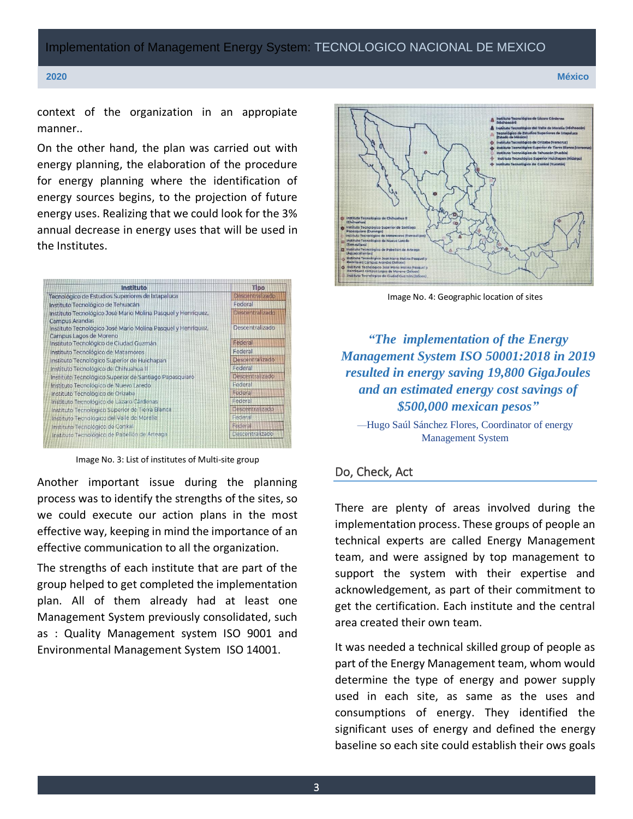Implementation of Management Energy System: TECNOLOGICO NACIONAL DE MEXICO

**2020 México**

context of the organization in an appropiate manner..

On the other hand, the plan was carried out with energy planning, the elaboration of the procedure for energy planning where the identification of energy sources begins, to the projection of future energy uses. Realizing that we could look for the 3% annual decrease in energy uses that will be used in the Institutes.



Image No. 3: List of institutes of Multi-site group

Another important issue during the planning process was to identify the strengths of the sites, so we could execute our action plans in the most effective way, keeping in mind the importance of an effective communication to all the organization.

The strengths of each institute that are part of the group helped to get completed the implementation plan. All of them already had at least one Management System previously consolidated, such as : Quality Management system ISO 9001 and Environmental Management System ISO 14001.



Image No. 4: Geographic location of sites

*"The implementation of the Energy Management System ISO 50001:2018 in 2019 resulted in energy saving 19,800 GigaJoules and an estimated energy cost savings of \$500,000 mexican pesos"*

—Hugo Saúl Sánchez Flores, Coordinator of energy Management System

### Do, Check, Act

There are plenty of areas involved during the implementation process. These groups of people an technical experts are called Energy Management team, and were assigned by top management to support the system with their expertise and acknowledgement, as part of their commitment to get the certification. Each institute and the central area created their own team.

It was needed a technical skilled group of people as part of the Energy Management team, whom would determine the type of energy and power supply used in each site, as same as the uses and consumptions of energy. They identified the significant uses of energy and defined the energy baseline so each site could establish their ows goals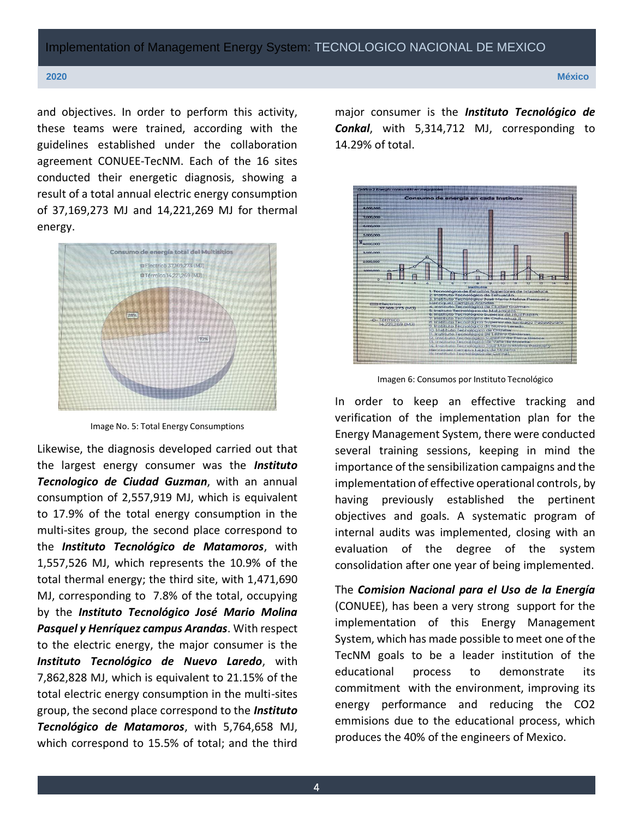#### **2020 México**

and objectives. In order to perform this activity, these teams were trained, according with the guidelines established under the collaboration agreement CONUEE-TecNM. Each of the 16 sites conducted their energetic diagnosis, showing a result of a total annual electric energy consumption of 37,169,273 MJ and 14,221,269 MJ for thermal energy.



Image No. 5: Total Energy Consumptions

Likewise, the diagnosis developed carried out that the largest energy consumer was the *Instituto Tecnologico de Ciudad Guzman*, with an annual consumption of 2,557,919 MJ, which is equivalent to 17.9% of the total energy consumption in the multi-sites group, the second place correspond to the *Instituto Tecnológico de Matamoros*, with 1,557,526 MJ, which represents the 10.9% of the total thermal energy; the third site, with 1,471,690 MJ, corresponding to 7.8% of the total, occupying by the *Instituto Tecnológico José Mario Molina Pasquel y Henríquez campus Arandas*. With respect to the electric energy, the major consumer is the *Instituto Tecnológico de Nuevo Laredo*, with 7,862,828 MJ, which is equivalent to 21.15% of the total electric energy consumption in the multi-sites group, the second place correspond to the *Instituto Tecnológico de Matamoros*, with 5,764,658 MJ, which correspond to 15.5% of total; and the third

major consumer is the *Instituto Tecnológico de Conkal*, with 5,314,712 MJ, corresponding to 14.29% of total.





In order to keep an effective tracking and verification of the implementation plan for the Energy Management System, there were conducted several training sessions, keeping in mind the importance of the sensibilization campaigns and the implementation of effective operational controls, by having previously established the pertinent objectives and goals. A systematic program of internal audits was implemented, closing with an evaluation of the degree of the system consolidation after one year of being implemented.

The *Comision Nacional para el Uso de la Energía*  (CONUEE), has been a very strong support for the implementation of this Energy Management System, which has made possible to meet one of the TecNM goals to be a leader institution of the educational process to demonstrate its commitment with the environment, improving its energy performance and reducing the CO2 emmisions due to the educational process, which produces the 40% of the engineers of Mexico.